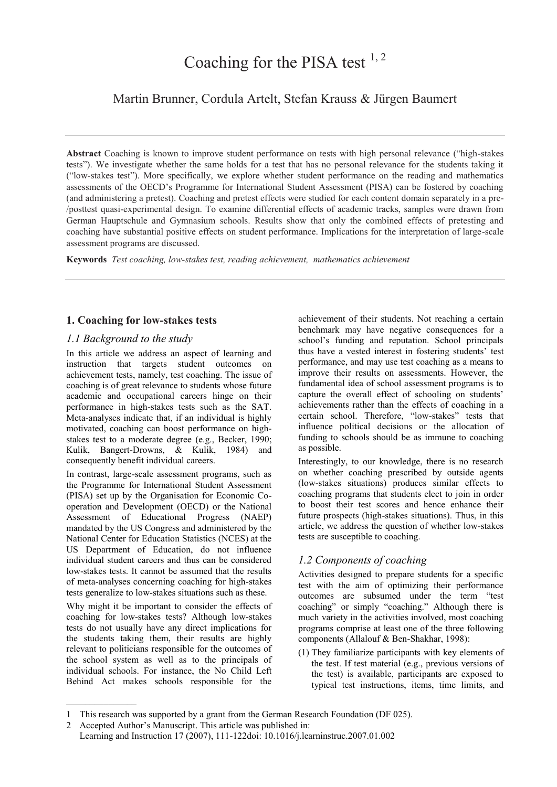Martin Brunner, Cordula Artelt, Stefan Krauss & Jürgen Baumert

**Abstract** Coaching is known to improve student performance on tests with high personal relevance ("high-stakes tests"). We investigate whether the same holds for a test that has no personal relevance for the students taking it ("low-stakes test"). More specifically, we explore whether student performance on the reading and mathematics assessments of the OECD's Programme for International Student Assessment (PISA) can be fostered by coaching (and administering a pretest). Coaching and pretest effects were studied for each content domain separately in a pre- /posttest quasi-experimental design. To examine differential effects of academic tracks, samples were drawn from German Hauptschule and Gymnasium schools. Results show that only the combined effects of pretesting and coaching have substantial positive effects on student performance. Implications for the interpretation of large-scale assessment programs are discussed.

**Keywords** *Test coaching, low-stakes test, reading achievement, mathematics achievement* 

### **1. Coaching for low-stakes tests**

### *1.1 Background to the study*

In this article we address an aspect of learning and instruction that targets student outcomes on achievement tests, namely, test coaching. The issue of coaching is of great relevance to students whose future academic and occupational careers hinge on their performance in high-stakes tests such as the SAT. Meta-analyses indicate that, if an individual is highly motivated, coaching can boost performance on highstakes test to a moderate degree (e.g., Becker, 1990; Kulik, Bangert-Drowns, & Kulik, 1984) and consequently benefit individual careers.

In contrast, large-scale assessment programs, such as the Programme for International Student Assessment (PISA) set up by the Organisation for Economic Cooperation and Development (OECD) or the National Assessment of Educational Progress (NAEP) mandated by the US Congress and administered by the National Center for Education Statistics (NCES) at the US Department of Education, do not influence individual student careers and thus can be considered low-stakes tests. It cannot be assumed that the results of meta-analyses concerning coaching for high-stakes tests generalize to low-stakes situations such as these.

Why might it be important to consider the effects of coaching for low-stakes tests? Although low-stakes tests do not usually have any direct implications for the students taking them, their results are highly relevant to politicians responsible for the outcomes of the school system as well as to the principals of individual schools. For instance, the No Child Left Behind Act makes schools responsible for the

 $\mathcal{L}=\mathcal{L}$ 

achievement of their students. Not reaching a certain benchmark may have negative consequences for a school's funding and reputation. School principals thus have a vested interest in fostering students' test performance, and may use test coaching as a means to improve their results on assessments. However, the fundamental idea of school assessment programs is to capture the overall effect of schooling on students' achievements rather than the effects of coaching in a certain school. Therefore, "low-stakes" tests that influence political decisions or the allocation of funding to schools should be as immune to coaching as possible.

Interestingly, to our knowledge, there is no research on whether coaching prescribed by outside agents (low-stakes situations) produces similar effects to coaching programs that students elect to join in order to boost their test scores and hence enhance their future prospects (high-stakes situations). Thus, in this article, we address the question of whether low-stakes tests are susceptible to coaching.

# *1.2 Components of coaching*

Activities designed to prepare students for a specific test with the aim of optimizing their performance outcomes are subsumed under the term "test coaching" or simply "coaching." Although there is much variety in the activities involved, most coaching programs comprise at least one of the three following components (Allalouf & Ben-Shakhar, 1998):

(1) They familiarize participants with key elements of the test. If test material (e.g., previous versions of the test) is available, participants are exposed to typical test instructions, items, time limits, and

<sup>1</sup> This research was supported by a grant from the German Research Foundation (DF 025).

<sup>2</sup> Accepted Author's Manuscript. This article was published in: Learning and Instruction 17 (2007), 111-122doi: 10.1016/j.learninstruc.2007.01.002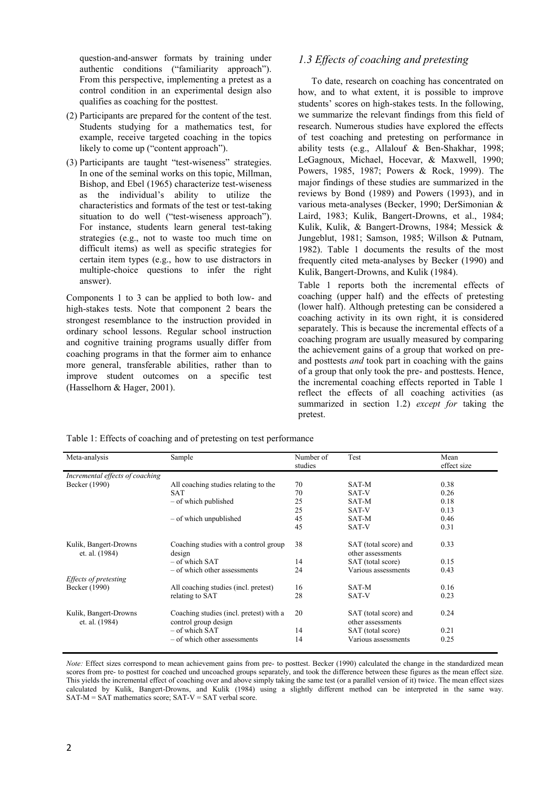question-and-answer formats by training under authentic conditions ("familiarity approach"). From this perspective, implementing a pretest as a control condition in an experimental design also qualifies as coaching for the posttest.

- (2) Participants are prepared for the content of the test. Students studying for a mathematics test, for example, receive targeted coaching in the topics likely to come up ("content approach").
- (3) Participants are taught "test-wiseness" strategies. In one of the seminal works on this topic, Millman, Bishop, and Ebel (1965) characterize test-wiseness as the individual's ability to utilize the characteristics and formats of the test or test-taking situation to do well ("test-wiseness approach"). For instance, students learn general test-taking strategies (e.g., not to waste too much time on difficult items) as well as specific strategies for certain item types (e.g., how to use distractors in multiple-choice questions to infer the right answer).

Components 1 to 3 can be applied to both low- and high-stakes tests. Note that component 2 bears the strongest resemblance to the instruction provided in ordinary school lessons. Regular school instruction and cognitive training programs usually differ from coaching programs in that the former aim to enhance more general, transferable abilities, rather than to improve student outcomes on a specific test (Hasselhorn & Hager, 2001).

# *1.3 Effects of coaching and pretesting*

To date, research on coaching has concentrated on how, and to what extent, it is possible to improve students' scores on high-stakes tests. In the following, we summarize the relevant findings from this field of research. Numerous studies have explored the effects of test coaching and pretesting on performance in ability tests (e.g., Allalouf & Ben-Shakhar, 1998; LeGagnoux, Michael, Hocevar, & Maxwell, 1990; Powers, 1985, 1987; Powers & Rock, 1999). The major findings of these studies are summarized in the reviews by Bond (1989) and Powers (1993), and in various meta-analyses (Becker, 1990; DerSimonian & Laird, 1983; Kulik, Bangert-Drowns, et al., 1984; Kulik, Kulik, & Bangert-Drowns, 1984; Messick & Jungeblut, 1981; Samson, 1985; Willson & Putnam, 1982). Table 1 documents the results of the most frequently cited meta-analyses by Becker (1990) and Kulik, Bangert-Drowns, and Kulik (1984).

Table 1 reports both the incremental effects of coaching (upper half) and the effects of pretesting (lower half). Although pretesting can be considered a coaching activity in its own right, it is considered separately. This is because the incremental effects of a coaching program are usually measured by comparing the achievement gains of a group that worked on preand posttests *and* took part in coaching with the gains of a group that only took the pre- and posttests. Hence, the incremental coaching effects reported in Table 1 reflect the effects of all coaching activities (as summarized in section 1.2) *except for* taking the pretest.

|  | Table 1: Effects of coaching and of pretesting on test performance |
|--|--------------------------------------------------------------------|
|  |                                                                    |

| Meta-analysis                           | Sample                                                          | Number of<br>studies | Test                                       | Mean<br>effect size |
|-----------------------------------------|-----------------------------------------------------------------|----------------------|--------------------------------------------|---------------------|
| Incremental effects of coaching         |                                                                 |                      |                                            |                     |
| Becker (1990)                           | All coaching studies relating to the                            | 70                   | SAT-M                                      | 0.38                |
|                                         | <b>SAT</b>                                                      | 70                   | SAT-V                                      | 0.26                |
|                                         | - of which published                                            | 25                   | SAT-M                                      | 0.18                |
|                                         |                                                                 | 25                   | SAT-V                                      | 0.13                |
|                                         | - of which unpublished                                          | 45                   | SAT-M                                      | 0.46                |
|                                         |                                                                 | 45                   | SAT-V                                      | 0.31                |
| Kulik, Bangert-Drowns<br>et. al. (1984) | Coaching studies with a control group<br>design                 | 38                   | SAT (total score) and<br>other assessments | 0.33                |
|                                         | - of which SAT                                                  | 14                   | SAT (total score)                          | 0.15                |
|                                         | – of which other assessments                                    | 24                   | Various assessments                        | 0.43                |
| <i>Effects of pretesting</i>            |                                                                 |                      |                                            |                     |
| Becker (1990)                           | All coaching studies (incl. pretest)                            | 16                   | SAT-M                                      | 0.16                |
|                                         | relating to SAT                                                 | 28                   | SAT-V                                      | 0.23                |
| Kulik, Bangert-Drowns<br>et. al. (1984) | Coaching studies (incl. pretest) with a<br>control group design | 20                   | SAT (total score) and<br>other assessments | 0.24                |
|                                         | - of which SAT                                                  | 14                   | SAT (total score)                          | 0.21                |
|                                         | – of which other assessments                                    | 14                   | Various assessments                        | 0.25                |

*Note:* Effect sizes correspond to mean achievement gains from pre- to posttest. Becker (1990) calculated the change in the standardized mean scores from pre- to posttest for coached und uncoached groups separately, and took the difference between these figures as the mean effect size. This yields the incremental effect of coaching over and above simply taking the same test (or a parallel version of it) twice. The mean effect sizes calculated by Kulik, Bangert-Drowns, and Kulik (1984) using a slightly different method can be interpreted in the same way.  $SAT-M = SAT$  mathematics score;  $SAT-V = SAT$  verbal score.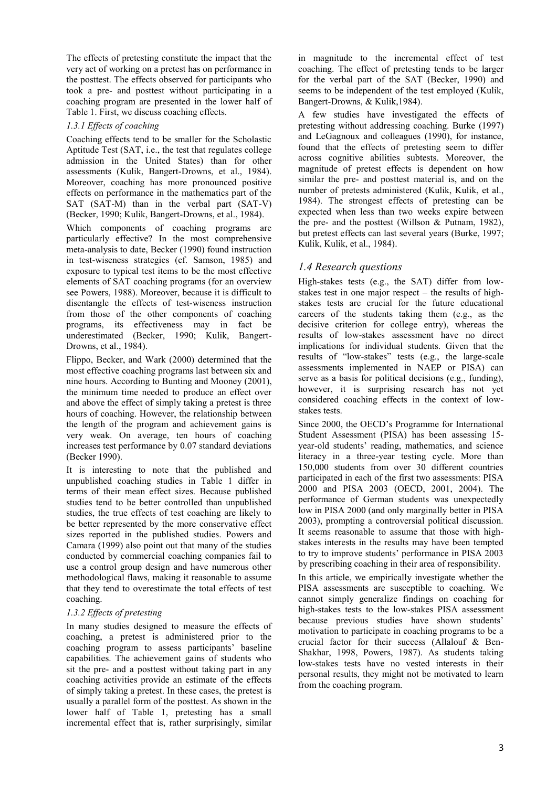The effects of pretesting constitute the impact that the very act of working on a pretest has on performance in the posttest. The effects observed for participants who took a pre- and posttest without participating in a coaching program are presented in the lower half of Table 1. First, we discuss coaching effects.

#### *1.3.1 Effects of coaching*

Coaching effects tend to be smaller for the Scholastic Aptitude Test (SAT, i.e., the test that regulates college admission in the United States) than for other assessments (Kulik, Bangert-Drowns, et al., 1984). Moreover, coaching has more pronounced positive effects on performance in the mathematics part of the SAT (SAT-M) than in the verbal part (SAT-V) (Becker, 1990; Kulik, Bangert-Drowns, et al., 1984).

Which components of coaching programs are particularly effective? In the most comprehensive meta-analysis to date, Becker (1990) found instruction in test-wiseness strategies (cf. Samson, 1985) and exposure to typical test items to be the most effective elements of SAT coaching programs (for an overview see Powers, 1988). Moreover, because it is difficult to disentangle the effects of test-wiseness instruction from those of the other components of coaching programs, its effectiveness may in fact be underestimated (Becker, 1990; Kulik, Bangert-Drowns, et al., 1984).

Flippo, Becker, and Wark (2000) determined that the most effective coaching programs last between six and nine hours. According to Bunting and Mooney (2001), the minimum time needed to produce an effect over and above the effect of simply taking a pretest is three hours of coaching. However, the relationship between the length of the program and achievement gains is very weak. On average, ten hours of coaching increases test performance by 0.07 standard deviations (Becker 1990).

It is interesting to note that the published and unpublished coaching studies in Table 1 differ in terms of their mean effect sizes. Because published studies tend to be better controlled than unpublished studies, the true effects of test coaching are likely to be better represented by the more conservative effect sizes reported in the published studies. Powers and Camara (1999) also point out that many of the studies conducted by commercial coaching companies fail to use a control group design and have numerous other methodological flaws, making it reasonable to assume that they tend to overestimate the total effects of test coaching.

#### *1.3.2 Effects of pretesting*

In many studies designed to measure the effects of coaching, a pretest is administered prior to the coaching program to assess participants' baseline capabilities. The achievement gains of students who sit the pre- and a posttest without taking part in any coaching activities provide an estimate of the effects of simply taking a pretest. In these cases, the pretest is usually a parallel form of the posttest. As shown in the lower half of Table 1, pretesting has a small incremental effect that is, rather surprisingly, similar

in magnitude to the incremental effect of test coaching. The effect of pretesting tends to be larger for the verbal part of the SAT (Becker, 1990) and seems to be independent of the test employed (Kulik, Bangert-Drowns, & Kulik,1984).

A few studies have investigated the effects of pretesting without addressing coaching. Burke (1997) and LeGagnoux and colleagues (1990), for instance, found that the effects of pretesting seem to differ across cognitive abilities subtests. Moreover, the magnitude of pretest effects is dependent on how similar the pre- and posttest material is, and on the number of pretests administered (Kulik, Kulik, et al., 1984). The strongest effects of pretesting can be expected when less than two weeks expire between the pre- and the posttest (Willson  $&$  Putnam, 1982), but pretest effects can last several years (Burke, 1997; Kulik, Kulik, et al., 1984).

# *1.4 Research questions*

High-stakes tests (e.g., the SAT) differ from lowstakes test in one major respect – the results of highstakes tests are crucial for the future educational careers of the students taking them (e.g., as the decisive criterion for college entry), whereas the results of low-stakes assessment have no direct implications for individual students. Given that the results of "low-stakes" tests (e.g., the large-scale assessments implemented in NAEP or PISA) can serve as a basis for political decisions (e.g., funding), however, it is surprising research has not yet considered coaching effects in the context of lowstakes tests.

Since 2000, the OECD's Programme for International Student Assessment (PISA) has been assessing 15 year-old students' reading, mathematics, and science literacy in a three-year testing cycle. More than 150,000 students from over 30 different countries participated in each of the first two assessments: PISA 2000 and PISA 2003 (OECD, 2001, 2004). The performance of German students was unexpectedly low in PISA 2000 (and only marginally better in PISA 2003), prompting a controversial political discussion. It seems reasonable to assume that those with highstakes interests in the results may have been tempted to try to improve students' performance in PISA 2003 by prescribing coaching in their area of responsibility.

In this article, we empirically investigate whether the PISA assessments are susceptible to coaching. We cannot simply generalize findings on coaching for high-stakes tests to the low-stakes PISA assessment because previous studies have shown students' motivation to participate in coaching programs to be a crucial factor for their success (Allalouf & Ben-Shakhar, 1998, Powers, 1987). As students taking low-stakes tests have no vested interests in their personal results, they might not be motivated to learn from the coaching program.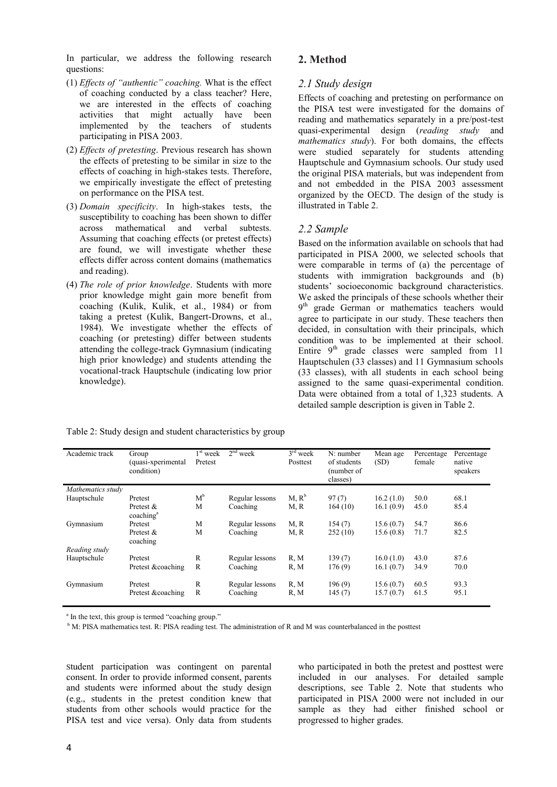In particular, we address the following research questions:

- (1) *Effects of "authentic" coaching.* What is the effect of coaching conducted by a class teacher? Here, we are interested in the effects of coaching activities that might actually have been implemented by the teachers of students participating in PISA 2003.
- (2) *Effects of pretesting*. Previous research has shown the effects of pretesting to be similar in size to the effects of coaching in high-stakes tests. Therefore, we empirically investigate the effect of pretesting on performance on the PISA test.
- (3) *Domain specificity*. In high-stakes tests, the susceptibility to coaching has been shown to differ across mathematical and verbal subtests. Assuming that coaching effects (or pretest effects) are found, we will investigate whether these effects differ across content domains (mathematics and reading).
- (4) *The role of prior knowledge*. Students with more prior knowledge might gain more benefit from coaching (Kulik, Kulik, et al., 1984) or from taking a pretest (Kulik, Bangert-Drowns, et al., 1984). We investigate whether the effects of coaching (or pretesting) differ between students attending the college-track Gymnasium (indicating high prior knowledge) and students attending the vocational-track Hauptschule (indicating low prior knowledge).

# **2. Method**

### *2.1 Study design*

Effects of coaching and pretesting on performance on the PISA test were investigated for the domains of reading and mathematics separately in a pre/post-test quasi-experimental design (*reading study* and *mathematics study*). For both domains, the effects were studied separately for students attending Hauptschule and Gymnasium schools. Our study used the original PISA materials, but was independent from and not embedded in the PISA 2003 assessment organized by the OECD. The design of the study is illustrated in Table 2.

## *2.2 Sample*

Based on the information available on schools that had participated in PISA 2000, we selected schools that were comparable in terms of (a) the percentage of students with immigration backgrounds and (b) students' socioeconomic background characteristics. We asked the principals of these schools whether their 9<sup>th</sup> grade German or mathematics teachers would agree to participate in our study. These teachers then decided, in consultation with their principals, which condition was to be implemented at their school. Entire  $9<sup>th</sup>$  grade classes were sampled from 11 Hauptschulen (33 classes) and 11 Gymnasium schools (33 classes), with all students in each school being assigned to the same quasi-experimental condition. Data were obtained from a total of 1,323 students. A detailed sample description is given in Table 2.

| Academic track    | Group<br>(quasi-xperimental<br>condition) | $1st$ week<br>Pretest | $2nd$ week      | $3rd$ week<br>Posttest | $N:$ number<br>of students<br>(number of<br>classes) | Mean age<br>(SD) | Percentage<br>female | Percentage<br>native<br>speakers |
|-------------------|-------------------------------------------|-----------------------|-----------------|------------------------|------------------------------------------------------|------------------|----------------------|----------------------------------|
| Mathematics study |                                           |                       |                 |                        |                                                      |                  |                      |                                  |
| Hauptschule       | Pretest                                   | M <sup>b</sup>        | Regular lessons | $M, R^b$               | 97(7)                                                | 16.2(1.0)        | 50.0                 | 68.1                             |
|                   | Pretest $\&$<br>coaching <sup>a</sup>     | M                     | Coaching        | M, R                   | 164(10)                                              | 16.1(0.9)        | 45.0                 | 85.4                             |
| Gymnasium         | Pretest                                   | M                     | Regular lessons | M, R                   | 154(7)                                               | 15.6(0.7)        | 54.7                 | 86.6                             |
|                   | Pretest $&$<br>coaching                   | M                     | Coaching        | M, R                   | 252(10)                                              | 15.6(0.8)        | 71.7                 | 82.5                             |
| Reading study     |                                           |                       |                 |                        |                                                      |                  |                      |                                  |
| Hauptschule       | Pretest                                   | R                     | Regular lessons | R, M                   | 139(7)                                               | 16.0(1.0)        | 43.0                 | 87.6                             |
|                   | Pretest &coaching                         | R                     | Coaching        | R, M                   | 176(9)                                               | 16.1(0.7)        | 34.9                 | 70.0                             |
| Gymnasium         | Pretest                                   | R                     | Regular lessons | R, M                   | 196(9)                                               | 15.6(0.7)        | 60.5                 | 93.3                             |
|                   | Pretest &coaching                         | R                     | Coaching        | R, M                   | 145(7)                                               | 15.7(0.7)        | 61.5                 | 95.1                             |

Table 2: Study design and student characteristics by group

<sup>a</sup> In the text, this group is termed "coaching group."

<sup>b</sup> M: PISA mathematics test. R: PISA reading test. The administration of R and M was counterbalanced in the posttest

Student participation was contingent on parental consent. In order to provide informed consent, parents and students were informed about the study design (e.g., students in the pretest condition knew that students from other schools would practice for the PISA test and vice versa). Only data from students

who participated in both the pretest and posttest were included in our analyses. For detailed sample descriptions, see Table 2. Note that students who participated in PISA 2000 were not included in our sample as they had either finished school or progressed to higher grades.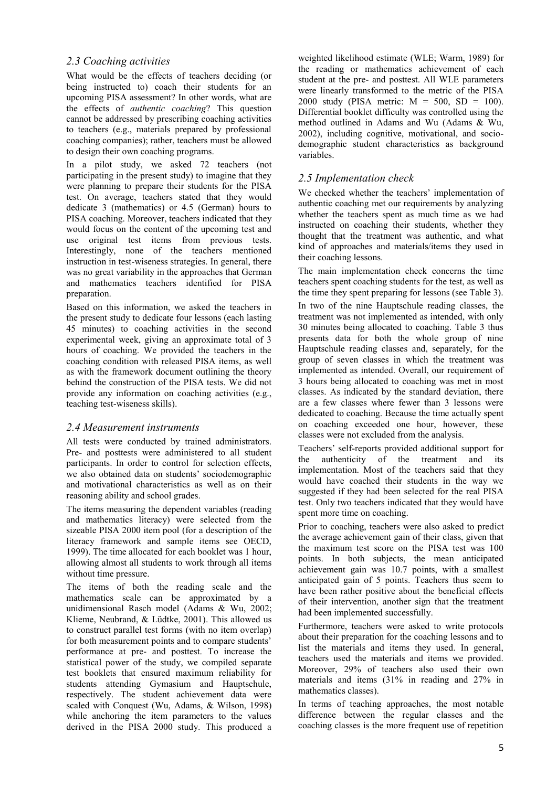### *2.3 Coaching activities*

What would be the effects of teachers deciding (or being instructed to) coach their students for an upcoming PISA assessment? In other words, what are the effects of *authentic coaching*? This question cannot be addressed by prescribing coaching activities to teachers (e.g., materials prepared by professional coaching companies); rather, teachers must be allowed to design their own coaching programs.

In a pilot study, we asked 72 teachers (not participating in the present study) to imagine that they were planning to prepare their students for the PISA test. On average, teachers stated that they would dedicate 3 (mathematics) or 4.5 (German) hours to PISA coaching. Moreover, teachers indicated that they would focus on the content of the upcoming test and use original test items from previous tests. Interestingly, none of the teachers mentioned instruction in test-wiseness strategies. In general, there was no great variability in the approaches that German and mathematics teachers identified for PISA preparation.

Based on this information, we asked the teachers in the present study to dedicate four lessons (each lasting 45 minutes) to coaching activities in the second experimental week, giving an approximate total of 3 hours of coaching. We provided the teachers in the coaching condition with released PISA items, as well as with the framework document outlining the theory behind the construction of the PISA tests. We did not provide any information on coaching activities (e.g., teaching test-wiseness skills).

### *2.4 Measurement instruments*

All tests were conducted by trained administrators. Pre- and posttests were administered to all student participants. In order to control for selection effects, we also obtained data on students' sociodemographic and motivational characteristics as well as on their reasoning ability and school grades.

The items measuring the dependent variables (reading and mathematics literacy) were selected from the sizeable PISA 2000 item pool (for a description of the literacy framework and sample items see OECD, 1999). The time allocated for each booklet was 1 hour, allowing almost all students to work through all items without time pressure.

The items of both the reading scale and the mathematics scale can be approximated by a unidimensional Rasch model (Adams & Wu, 2002; Klieme, Neubrand, & Lüdtke, 2001). This allowed us to construct parallel test forms (with no item overlap) for both measurement points and to compare students' performance at pre- and posttest. To increase the statistical power of the study, we compiled separate test booklets that ensured maximum reliability for students attending Gymasium and Hauptschule, respectively. The student achievement data were scaled with Conquest (Wu, Adams, & Wilson, 1998) while anchoring the item parameters to the values derived in the PISA 2000 study. This produced a

weighted likelihood estimate (WLE; Warm, 1989) for the reading or mathematics achievement of each student at the pre- and posttest. All WLE parameters were linearly transformed to the metric of the PISA 2000 study (PISA metric:  $M = 500$ , SD = 100). Differential booklet difficulty was controlled using the method outlined in Adams and Wu (Adams & Wu, 2002), including cognitive, motivational, and sociodemographic student characteristics as background variables.

## *2.5 Implementation check*

We checked whether the teachers' implementation of authentic coaching met our requirements by analyzing whether the teachers spent as much time as we had instructed on coaching their students, whether they thought that the treatment was authentic, and what kind of approaches and materials/items they used in their coaching lessons.

The main implementation check concerns the time teachers spent coaching students for the test, as well as the time they spent preparing for lessons (see Table 3). In two of the nine Hauptschule reading classes, the treatment was not implemented as intended, with only 30 minutes being allocated to coaching. Table 3 thus presents data for both the whole group of nine Hauptschule reading classes and, separately, for the group of seven classes in which the treatment was implemented as intended. Overall, our requirement of 3 hours being allocated to coaching was met in most classes. As indicated by the standard deviation, there are a few classes where fewer than 3 lessons were dedicated to coaching. Because the time actually spent on coaching exceeded one hour, however, these classes were not excluded from the analysis.

Teachers' self-reports provided additional support for the authenticity of the treatment and its implementation. Most of the teachers said that they would have coached their students in the way we suggested if they had been selected for the real PISA test. Only two teachers indicated that they would have spent more time on coaching.

Prior to coaching, teachers were also asked to predict the average achievement gain of their class, given that the maximum test score on the PISA test was 100 points. In both subjects, the mean anticipated achievement gain was 10.7 points, with a smallest anticipated gain of 5 points. Teachers thus seem to have been rather positive about the beneficial effects of their intervention, another sign that the treatment had been implemented successfully.

Furthermore, teachers were asked to write protocols about their preparation for the coaching lessons and to list the materials and items they used. In general, teachers used the materials and items we provided. Moreover, 29% of teachers also used their own materials and items (31% in reading and 27% in mathematics classes).

In terms of teaching approaches, the most notable difference between the regular classes and the coaching classes is the more frequent use of repetition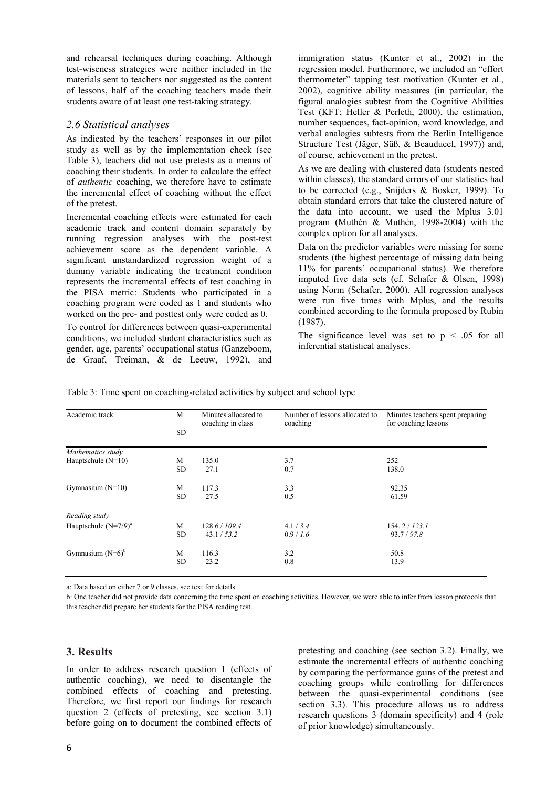and rehearsal techniques during coaching. Although test-wiseness strategies were neither included in the materials sent to teachers nor suggested as the content of lessons, half of the coaching teachers made their students aware of at least one test-taking strategy.

### *2.6 Statistical analyses*

As indicated by the teachers' responses in our pilot study as well as by the implementation check (see Table 3), teachers did not use pretests as a means of coaching their students. In order to calculate the effect of *authentic* coaching, we therefore have to estimate the incremental effect of coaching without the effect of the pretest.

Incremental coaching effects were estimated for each academic track and content domain separately by running regression analyses with the post-test achievement score as the dependent variable. A significant unstandardized regression weight of a dummy variable indicating the treatment condition represents the incremental effects of test coaching in the PISA metric: Students who participated in a coaching program were coded as 1 and students who worked on the pre- and posttest only were coded as 0.

To control for differences between quasi-experimental conditions, we included student characteristics such as gender, age, parents' occupational status (Ganzeboom, de Graaf, Treiman, & de Leeuw, 1992), and

immigration status (Kunter et al., 2002) in the regression model. Furthermore, we included an "effort thermometer" tapping test motivation (Kunter et al., 2002), cognitive ability measures (in particular, the figural analogies subtest from the Cognitive Abilities Test (KFT; Heller & Perleth, 2000), the estimation, number sequences, fact-opinion, word knowledge, and verbal analogies subtests from the Berlin Intelligence Structure Test (Jäger, Süß, & Beauducel, 1997)) and, of course, achievement in the pretest.

As we are dealing with clustered data (students nested within classes), the standard errors of our statistics had to be corrected (e.g., Snijders & Bosker, 1999). To obtain standard errors that take the clustered nature of the data into account, we used the Mplus 3.01 program (Muthén & Muthén, 1998-2004) with the complex option for all analyses.

Data on the predictor variables were missing for some students (the highest percentage of missing data being 11% for parents' occupational status). We therefore imputed five data sets (cf. Schafer & Olsen, 1998) using Norm (Schafer, 2000). All regression analyses were run five times with Mplus, and the results combined according to the formula proposed by Rubin (1987).

The significance level was set to  $p \leq .05$  for all inferential statistical analyses.

| Academic track          | M         | Minutes allocated to<br>coaching in class | Number of lessons allocated to<br>coaching | Minutes teachers spent preparing<br>for coaching lessons |  |  |
|-------------------------|-----------|-------------------------------------------|--------------------------------------------|----------------------------------------------------------|--|--|
|                         | <b>SD</b> |                                           |                                            |                                                          |  |  |
| Mathematics study       |           |                                           |                                            |                                                          |  |  |
| Hauptschule $(N=10)$    | M         | 135.0                                     | 3.7                                        | 252                                                      |  |  |
|                         | <b>SD</b> | 27.1                                      | 0.7                                        | 138.0                                                    |  |  |
| Gymnasium $(N=10)$      | M         | 117.3                                     | 3.3                                        | 92.35                                                    |  |  |
|                         | <b>SD</b> | 27.5                                      | 0.5                                        | 61.59                                                    |  |  |
| Reading study           |           |                                           |                                            |                                                          |  |  |
| Hauptschule $(N=7/9)^a$ | M         | 128.6 / 109.4                             | 4.1 / 3.4                                  | 154.2 / 123.1                                            |  |  |
|                         | <b>SD</b> | 43.1 / 53.2                               | 0.9 / 1.6                                  | 93.7 / 97.8                                              |  |  |
| Gymnasium $(N=6)^b$     | M         | 116.3                                     | 3.2                                        | 50.8                                                     |  |  |
|                         | <b>SD</b> | 23.2                                      | 0.8                                        | 13.9                                                     |  |  |

Table 3: Time spent on coaching-related activities by subject and school type

a: Data based on either 7 or 9 classes, see text for details.

b: One teacher did not provide data concerning the time spent on coaching activities. However, we were able to infer from lesson protocols that this teacher did prepare her students for the PISA reading test.

### **3. Results**

In order to address research question 1 (effects of authentic coaching), we need to disentangle the combined effects of coaching and pretesting. Therefore, we first report our findings for research question 2 (effects of pretesting, see section 3.1) before going on to document the combined effects of

pretesting and coaching (see section 3.2). Finally, we estimate the incremental effects of authentic coaching by comparing the performance gains of the pretest and coaching groups while controlling for differences between the quasi-experimental conditions (see section 3.3). This procedure allows us to address research questions 3 (domain specificity) and 4 (role of prior knowledge) simultaneously.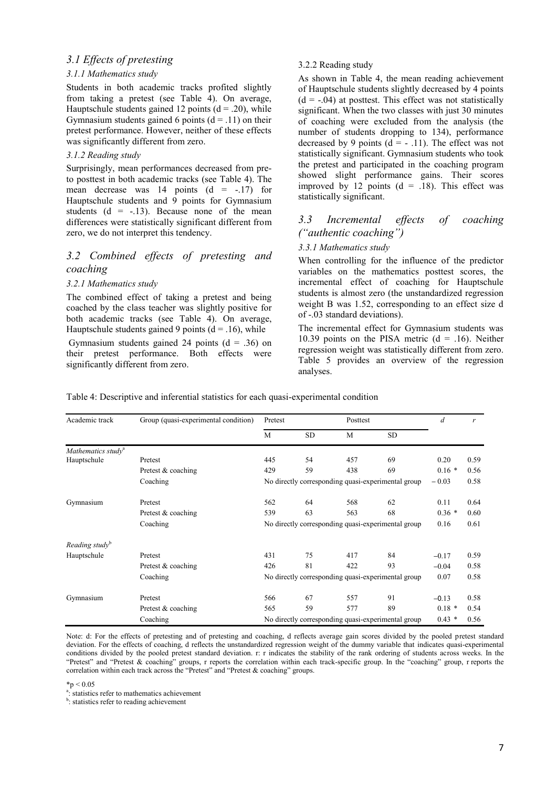## *3.1 Effects of pretesting*

#### *3.1.1 Mathematics study*

Students in both academic tracks profited slightly from taking a pretest (see Table 4). On average, Hauptschule students gained 12 points  $(d = .20)$ , while Gymnasium students gained 6 points  $(d = .11)$  on their pretest performance. However, neither of these effects was significantly different from zero.

#### *3.1.2 Reading study*

Surprisingly, mean performances decreased from preto posttest in both academic tracks (see Table 4). The mean decrease was 14 points  $(d = -17)$  for Hauptschule students and 9 points for Gymnasium students  $(d = -13)$ . Because none of the mean differences were statistically significant different from zero, we do not interpret this tendency.

## *3.2 Combined effects of pretesting and coaching*

#### *3.2.1 Mathematics study*

The combined effect of taking a pretest and being coached by the class teacher was slightly positive for both academic tracks (see Table 4). On average, Hauptschule students gained 9 points  $(d = .16)$ , while

Gymnasium students gained 24 points  $(d = .36)$  on their pretest performance. Both effects were significantly different from zero.

#### 3.2.2 Reading study

As shown in Table 4, the mean reading achievement of Hauptschule students slightly decreased by 4 points  $(d = -0.04)$  at posttest. This effect was not statistically significant. When the two classes with just 30 minutes of coaching were excluded from the analysis (the number of students dropping to 134), performance decreased by 9 points ( $d = -0.11$ ). The effect was not statistically significant. Gymnasium students who took the pretest and participated in the coaching program showed slight performance gains. Their scores improved by 12 points  $(d = .18)$ . This effect was statistically significant.

### *3.3 Incremental effects of coaching ("authentic coaching")*

#### *3.3.1 Mathematics study*

When controlling for the influence of the predictor variables on the mathematics posttest scores, the incremental effect of coaching for Hauptschule students is almost zero (the unstandardized regression weight B was 1.52, corresponding to an effect size d of -.03 standard deviations).

The incremental effect for Gymnasium students was 10.39 points on the PISA metric  $(d = .16)$ . Neither regression weight was statistically different from zero. Table 5 provides an overview of the regression analyses.

Table 4: Descriptive and inferential statistics for each quasi-experimental condition

| Academic track                 | Group (quasi-experimental condition) | Pretest                                            |           | Posttest |                                                    | d       | r    |
|--------------------------------|--------------------------------------|----------------------------------------------------|-----------|----------|----------------------------------------------------|---------|------|
|                                |                                      | M                                                  | <b>SD</b> | M        | <b>SD</b>                                          |         |      |
| Mathematics study <sup>a</sup> |                                      |                                                    |           |          |                                                    |         |      |
| Hauptschule                    | Pretest                              | 445                                                | 54        | 457      | 69                                                 | 0.20    | 0.59 |
|                                | Pretest & coaching                   | 429                                                | 59        | 438      | 69                                                 | $0.16*$ | 0.56 |
|                                | Coaching                             | No directly corresponding quasi-experimental group | $-0.03$   | 0.58     |                                                    |         |      |
| Gymnasium                      | Pretest                              | 562                                                | 64        | 568      | 62                                                 | 0.11    | 0.64 |
|                                | Pretest & coaching                   | 539                                                | 63        | 563      | 68                                                 | $0.36*$ | 0.60 |
|                                | Coaching                             | No directly corresponding quasi-experimental group |           |          | 0.16                                               | 0.61    |      |
| Reading study <sup>b</sup>     |                                      |                                                    |           |          |                                                    |         |      |
| Hauptschule                    | Pretest                              | 431                                                | 75        | 417      | 84                                                 | $-0.17$ | 0.59 |
|                                | Pretest & coaching                   | 426                                                | 81        | 422      | 93                                                 | $-0.04$ | 0.58 |
|                                | Coaching                             |                                                    |           |          | No directly corresponding quasi-experimental group | 0.07    | 0.58 |
| Gymnasium                      | Pretest                              | 566                                                | 67        | 557      | 91                                                 | $-0.13$ | 0.58 |
|                                | Pretest & coaching                   | 565                                                | 59        | 577      | 89                                                 | $0.18*$ | 0.54 |
|                                | Coaching                             |                                                    |           |          | No directly corresponding quasi-experimental group | $0.43*$ | 0.56 |

Note: d: For the effects of pretesting and of pretesting and coaching, d reflects average gain scores divided by the pooled pretest standard deviation. For the effects of coaching, d reflects the unstandardized regression weight of the dummy variable that indicates quasi-experimental conditions divided by the pooled pretest standard deviation. r: r indicates the stability of the rank ordering of students across weeks. In the "Pretest" and "Pretest & coaching" groups, r reports the correlation within each track-specific group. In the "coaching" group, r reports the correlation within each track across the "Pretest" and "Pretest & coaching" groups.

 $*_{p} < 0.05$ 

a: statistics refer to mathematics achievement

<sup>b</sup>: statistics refer to reading achievement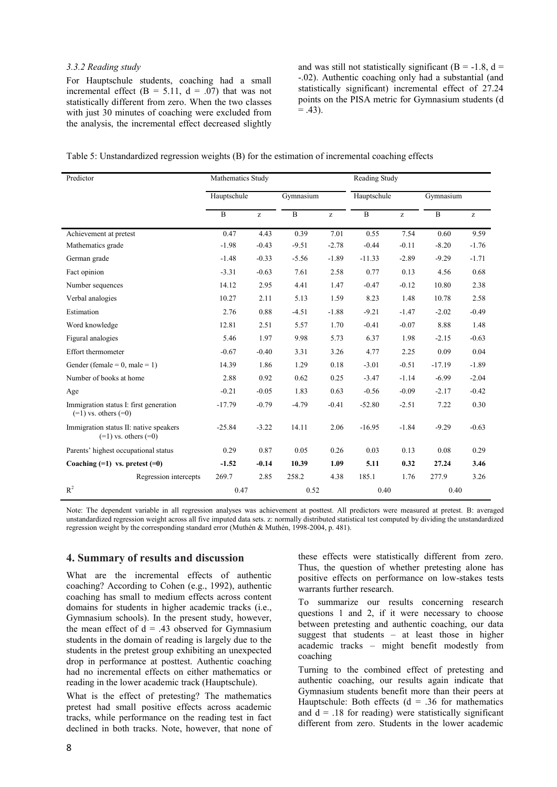#### *3.3.2 Reading study*

For Hauptschule students, coaching had a small incremental effect  $(B = 5.11, d = .07)$  that was not statistically different from zero. When the two classes with just 30 minutes of coaching were excluded from the analysis, the incremental effect decreased slightly

and was still not statistically significant ( $B = -1.8$ ,  $d =$ -.02). Authentic coaching only had a substantial (and statistically significant) incremental effect of 27.24 points on the PISA metric for Gymnasium students (d  $= .43$ ).

|  |  |  | Table 5: Unstandardized regression weights (B) for the estimation of incremental coaching effects |
|--|--|--|---------------------------------------------------------------------------------------------------|
|  |  |  |                                                                                                   |

| Predictor                                                          | Mathematics Study |         |                |         | <b>Reading Study</b> |         |                |                                                       |
|--------------------------------------------------------------------|-------------------|---------|----------------|---------|----------------------|---------|----------------|-------------------------------------------------------|
|                                                                    | Hauptschule       |         | Gymnasium      |         | Hauptschule          |         | Gymnasium      |                                                       |
|                                                                    | B                 | z       | $\overline{B}$ | z       | $\overline{B}$       | z       | $\overline{B}$ | $\mathbf{Z}% ^{T}=\mathbf{Z}^{T}\times\mathbf{Z}^{T}$ |
| Achievement at pretest                                             | 0.47              | 4.43    | 0.39           | 7.01    | 0.55                 | 7.54    | 0.60           | 9.59                                                  |
| Mathematics grade                                                  | $-1.98$           | $-0.43$ | $-9.51$        | $-2.78$ | $-0.44$              | $-0.11$ | $-8.20$        | $-1.76$                                               |
| German grade                                                       | $-1.48$           | $-0.33$ | $-5.56$        | $-1.89$ | $-11.33$             | $-2.89$ | $-9.29$        | $-1.71$                                               |
| Fact opinion                                                       | $-3.31$           | $-0.63$ | 7.61           | 2.58    | 0.77                 | 0.13    | 4.56           | 0.68                                                  |
| Number sequences                                                   | 14.12             | 2.95    | 4.41           | 1.47    | $-0.47$              | $-0.12$ | 10.80          | 2.38                                                  |
| Verbal analogies                                                   | 10.27             | 2.11    | 5.13           | 1.59    | 8.23                 | 1.48    | 10.78          | 2.58                                                  |
| Estimation                                                         | 2.76              | 0.88    | $-4.51$        | $-1.88$ | $-9.21$              | $-1.47$ | $-2.02$        | $-0.49$                                               |
| Word knowledge                                                     | 12.81             | 2.51    | 5.57           | 1.70    | $-0.41$              | $-0.07$ | 8.88           | 1.48                                                  |
| Figural analogies                                                  | 5.46              | 1.97    | 9.98           | 5.73    | 6.37                 | 1.98    | $-2.15$        | $-0.63$                                               |
| Effort thermometer                                                 | $-0.67$           | $-0.40$ | 3.31           | 3.26    | 4.77                 | 2.25    | 0.09           | 0.04                                                  |
| Gender (female = $0$ , male = $1$ )                                | 14.39             | 1.86    | 1.29           | 0.18    | $-3.01$              | $-0.51$ | $-17.19$       | $-1.89$                                               |
| Number of books at home                                            | 2.88              | 0.92    | 0.62           | 0.25    | $-3.47$              | $-1.14$ | $-6.99$        | $-2.04$                                               |
| Age                                                                | $-0.21$           | $-0.05$ | 1.83           | 0.63    | $-0.56$              | $-0.09$ | $-2.17$        | $-0.42$                                               |
| Immigration status I: first generation<br>$(=1)$ vs. others $(=0)$ | $-17.79$          | $-0.79$ | $-4.79$        | $-0.41$ | $-52.80$             | $-2.51$ | 7.22           | 0.30                                                  |
| Immigration status II: native speakers<br>$(=1)$ vs. others $(=0)$ | $-25.84$          | $-3.22$ | 14.11          | 2.06    | $-16.95$             | $-1.84$ | $-9.29$        | $-0.63$                                               |
| Parents' highest occupational status                               | 0.29              | 0.87    | 0.05           | 0.26    | 0.03                 | 0.13    | 0.08           | 0.29                                                  |
| Coaching $(=1)$ vs. pretest $(=0)$                                 | $-1.52$           | $-0.14$ | 10.39          | 1.09    | 5.11                 | 0.32    | 27.24          | 3.46                                                  |
| Regression intercepts                                              | 269.7             | 2.85    | 258.2          | 4.38    | 185.1                | 1.76    | 277.9          | 3.26                                                  |
| R <sup>2</sup>                                                     | 0.47              |         | 0.52           |         | 0.40                 |         | 0.40           |                                                       |

Note: The dependent variable in all regression analyses was achievement at posttest. All predictors were measured at pretest. B: averaged unstandardized regression weight across all five imputed data sets. z: normally distributed statistical test computed by dividing the unstandardized regression weight by the corresponding standard error (Muthén & Muthén, 1998-2004, p. 481).

#### **4. Summary of results and discussion**

What are the incremental effects of authentic coaching? According to Cohen (e.g., 1992), authentic coaching has small to medium effects across content domains for students in higher academic tracks (i.e., Gymnasium schools). In the present study, however, the mean effect of  $d = .43$  observed for Gymnasium students in the domain of reading is largely due to the students in the pretest group exhibiting an unexpected drop in performance at posttest. Authentic coaching had no incremental effects on either mathematics or reading in the lower academic track (Hauptschule).

What is the effect of pretesting? The mathematics pretest had small positive effects across academic tracks, while performance on the reading test in fact declined in both tracks. Note, however, that none of

these effects were statistically different from zero. Thus, the question of whether pretesting alone has positive effects on performance on low-stakes tests warrants further research.

To summarize our results concerning research questions 1 and 2, if it were necessary to choose between pretesting and authentic coaching, our data suggest that students – at least those in higher academic tracks – might benefit modestly from coaching

Turning to the combined effect of pretesting and authentic coaching, our results again indicate that Gymnasium students benefit more than their peers at Hauptschule: Both effects  $(d = .36$  for mathematics and  $d = .18$  for reading) were statistically significant different from zero. Students in the lower academic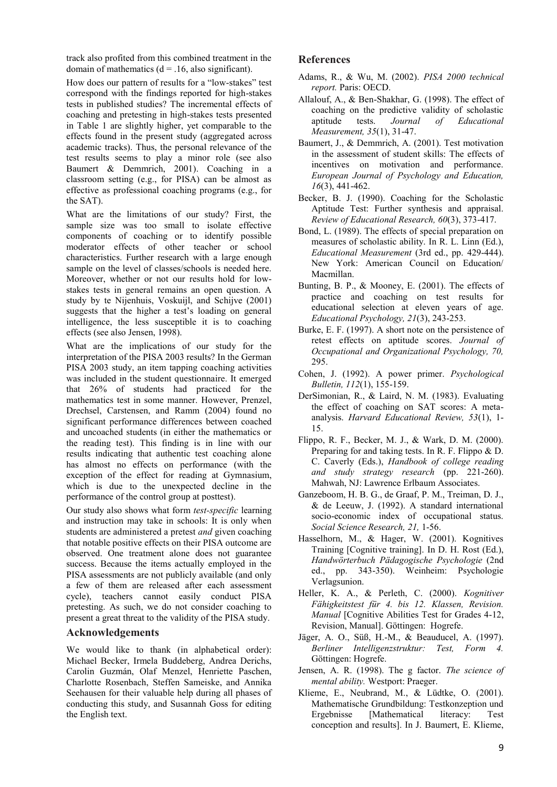track also profited from this combined treatment in the domain of mathematics  $(d = .16)$ , also significant).

How does our pattern of results for a "low-stakes" test correspond with the findings reported for high-stakes tests in published studies? The incremental effects of coaching and pretesting in high-stakes tests presented in Table 1 are slightly higher, yet comparable to the effects found in the present study (aggregated across academic tracks). Thus, the personal relevance of the test results seems to play a minor role (see also Baumert & Demmrich, 2001). Coaching in a classroom setting (e.g., for PISA) can be almost as effective as professional coaching programs (e.g., for the SAT).

What are the limitations of our study? First, the sample size was too small to isolate effective components of coaching or to identify possible moderator effects of other teacher or school characteristics. Further research with a large enough sample on the level of classes/schools is needed here. Moreover, whether or not our results hold for lowstakes tests in general remains an open question. A study by te Nijenhuis, Voskuijl, and Schijve (2001) suggests that the higher a test's loading on general intelligence, the less susceptible it is to coaching effects (see also Jensen, 1998).

What are the implications of our study for the interpretation of the PISA 2003 results? In the German PISA 2003 study, an item tapping coaching activities was included in the student questionnaire. It emerged that 26% of students had practiced for the mathematics test in some manner. However, Prenzel, Drechsel, Carstensen, and Ramm (2004) found no significant performance differences between coached and uncoached students (in either the mathematics or the reading test). This finding is in line with our results indicating that authentic test coaching alone has almost no effects on performance (with the exception of the effect for reading at Gymnasium, which is due to the unexpected decline in the performance of the control group at posttest).

Our study also shows what form *test-specific* learning and instruction may take in schools: It is only when students are administered a pretest *and* given coaching that notable positive effects on their PISA outcome are observed. One treatment alone does not guarantee success. Because the items actually employed in the PISA assessments are not publicly available (and only a few of them are released after each assessment cycle), teachers cannot easily conduct PISA pretesting. As such, we do not consider coaching to present a great threat to the validity of the PISA study.

### **Acknowledgements**

We would like to thank (in alphabetical order): Michael Becker, Irmela Buddeberg, Andrea Derichs, Carolin Guzmán, Olaf Menzel, Henriette Paschen, Charlotte Rosenbach, Steffen Sameiske, and Annika Seehausen for their valuable help during all phases of conducting this study, and Susannah Goss for editing the English text.

## **References**

- Adams, R., & Wu, M. (2002). *PISA 2000 technical report.* Paris: OECD.
- Allalouf, A., & Ben-Shakhar, G. (1998). The effect of coaching on the predictive validity of scholastic aptitude tests. *Journal of Educational Measurement, 35*(1), 31-47.
- Baumert, J., & Demmrich, A. (2001). Test motivation in the assessment of student skills: The effects of incentives on motivation and performance. *European Journal of Psychology and Education, 16*(3), 441-462.
- Becker, B. J. (1990). Coaching for the Scholastic Aptitude Test: Further synthesis and appraisal. *Review of Educational Research, 60*(3), 373-417.
- Bond, L. (1989). The effects of special preparation on measures of scholastic ability. In R. L. Linn (Ed.), *Educational Measurement* (3rd ed., pp. 429-444). New York: American Council on Education/ Macmillan.
- Bunting, B. P., & Mooney, E. (2001). The effects of practice and coaching on test results for educational selection at eleven years of age. *Educational Psychology, 21*(3), 243-253.
- Burke, E. F. (1997). A short note on the persistence of retest effects on aptitude scores. *Journal of Occupational and Organizational Psychology, 70,*  295.
- Cohen, J. (1992). A power primer. *Psychological Bulletin, 112*(1), 155-159.
- DerSimonian, R., & Laird, N. M. (1983). Evaluating the effect of coaching on SAT scores: A metaanalysis. *Harvard Educational Review, 53*(1), 1- 15.
- Flippo, R. F., Becker, M. J., & Wark, D. M. (2000). Preparing for and taking tests. In R. F. Flippo & D. C. Caverly (Eds.), *Handbook of college reading and study strategy research* (pp. 221-260). Mahwah, NJ: Lawrence Erlbaum Associates.
- Ganzeboom, H. B. G., de Graaf, P. M., Treiman, D. J., & de Leeuw, J. (1992). A standard international socio-economic index of occupational status. *Social Science Research, 21,* 1-56.
- Hasselhorn, M., & Hager, W. (2001). Kognitives Training [Cognitive training]. In D. H. Rost (Ed.), *Handwörterbuch Pädagogische Psychologie* (2nd ed., pp. 343-350). Weinheim: Psychologie Verlagsunion.
- Heller, K. A., & Perleth, C. (2000). *Kognitiver Fähigkeitstest für 4. bis 12. Klassen, Revision. Manual* [Cognitive Abilities Test for Grades 4-12, Revision, Manual]. Göttingen: Hogrefe.
- Jäger, A. O., Süß, H.-M., & Beauducel, A. (1997). *Berliner Intelligenzstruktur: Test, Form 4.*  Göttingen: Hogrefe.
- Jensen, A. R. (1998). The g factor. *The science of mental ability.* Westport: Praeger.
- Klieme, E., Neubrand, M., & Lüdtke, O. (2001). Mathematische Grundbildung: Testkonzeption und Ergebnisse [Mathematical literacy: Test conception and results]. In J. Baumert, E. Klieme,